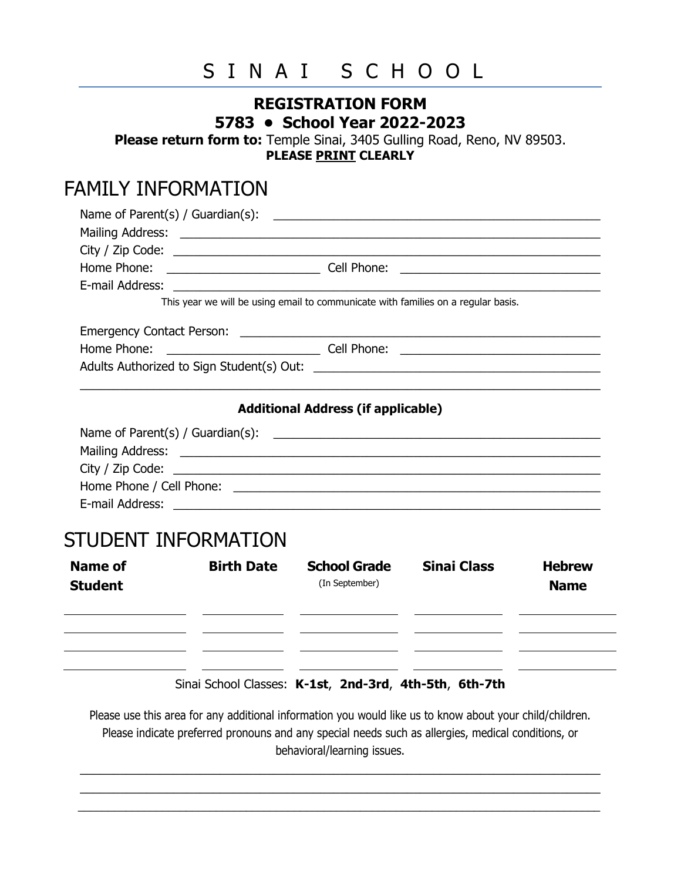# SINAI SCHOOL

#### **REGISTRATION FORM 5783 • School Year 2022-2023**

**Please return form to:** Temple Sinai, 3405 Gulling Road, Reno, NV 89503. **PLEASE PRINT CLEARLY**

### FAMILY INFORMATION

|                            |                   | This year we will be using email to communicate with families on a regular basis. |                    |                              |
|----------------------------|-------------------|-----------------------------------------------------------------------------------|--------------------|------------------------------|
|                            |                   |                                                                                   |                    |                              |
|                            |                   |                                                                                   |                    |                              |
|                            |                   |                                                                                   |                    |                              |
|                            |                   |                                                                                   |                    |                              |
|                            |                   | <b>Additional Address (if applicable)</b>                                         |                    |                              |
|                            |                   |                                                                                   |                    |                              |
|                            |                   |                                                                                   |                    |                              |
|                            |                   |                                                                                   |                    |                              |
|                            |                   |                                                                                   |                    |                              |
|                            |                   |                                                                                   |                    |                              |
|                            |                   |                                                                                   |                    |                              |
| <b>STUDENT INFORMATION</b> |                   |                                                                                   |                    |                              |
| Name of<br><b>Student</b>  | <b>Birth Date</b> | <b>School Grade</b><br>(In September)                                             | <b>Sinai Class</b> | <b>Hebrew</b><br><b>Name</b> |

| <b>Student</b> | (In September) |  | <b>Name</b> |
|----------------|----------------|--|-------------|
|                |                |  |             |
|                |                |  |             |
|                |                |  |             |

Sinai School Classes: **K-1st**, **2nd-3rd**, **4th-5th**, **6th-7th**

Please use this area for any additional information you would like us to know about your child/children. Please indicate preferred pronouns and any special needs such as allergies, medical conditions, or behavioral/learning issues.

 $\_$  $\_$ \_\_\_\_\_\_\_\_\_\_\_\_\_\_\_\_\_\_\_\_\_\_\_\_\_\_\_\_\_\_\_\_\_\_\_\_\_\_\_\_\_\_\_\_\_\_\_\_\_\_\_\_\_\_\_\_\_\_\_\_\_\_\_\_\_\_\_\_\_\_\_\_\_\_\_\_\_\_\_\_\_\_\_\_\_\_\_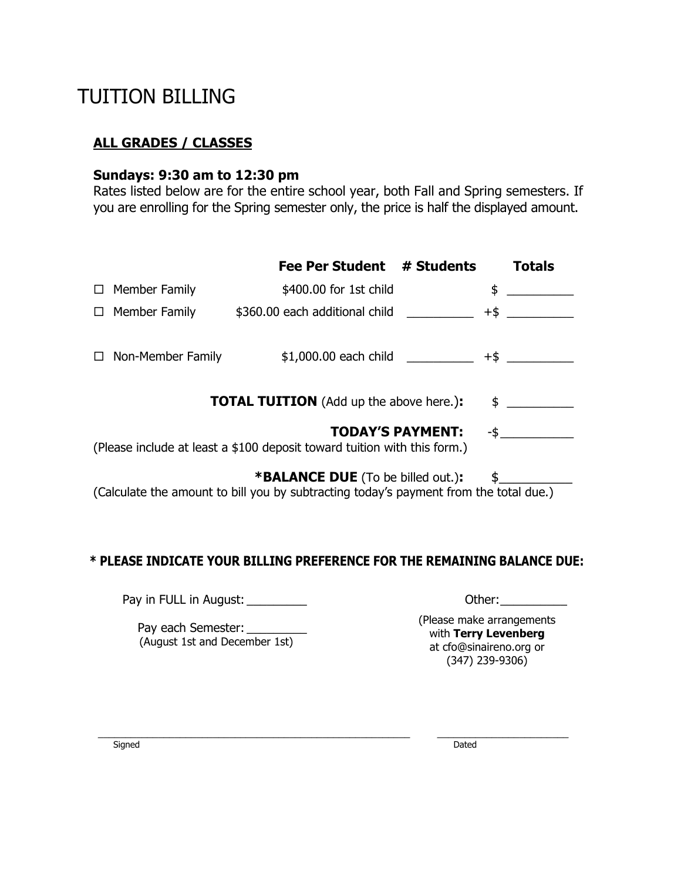# TUITION BILLING

#### **ALL GRADES / CLASSES**

#### **Sundays: 9:30 am to 12:30 pm**

Rates listed below are for the entire school year, both Fall and Spring semesters. If you are enrolling for the Spring semester only, the price is half the displayed amount.

|                                                                                                            |                          | <b>Fee Per Student</b>                                                                                                            | # Students | <b>Totals</b>                        |  |
|------------------------------------------------------------------------------------------------------------|--------------------------|-----------------------------------------------------------------------------------------------------------------------------------|------------|--------------------------------------|--|
|                                                                                                            | $\Box$ Member Family     | \$400.00 for 1st child                                                                                                            |            | \$<br><u> 1999 - John Barnett, f</u> |  |
|                                                                                                            | $\Box$ Member Family     | \$360.00 each additional child                                                                                                    |            |                                      |  |
|                                                                                                            | $\Box$ Non-Member Family | $$1,000.00$ each child                                                                                                            |            | $+$ \$                               |  |
| <b>TOTAL TUITION</b> (Add up the above here.):<br>$\frac{1}{2}$                                            |                          |                                                                                                                                   |            |                                      |  |
| <b>TODAY'S PAYMENT:</b><br>-\$<br>(Please include at least a \$100 deposit toward tuition with this form.) |                          |                                                                                                                                   |            |                                      |  |
|                                                                                                            |                          | <b>*BALANCE DUE</b> (To be billed out.):<br>(Calculate the amount to bill you by subtracting today's payment from the total due.) |            |                                      |  |

#### **\* PLEASE INDICATE YOUR BILLING PREFERENCE FOR THE REMAINING BALANCE DUE:**

Pay in FULL in August: \_\_\_\_\_\_\_\_\_ Other:\_\_\_\_\_\_\_\_\_\_

Pay each Semester: \_\_\_\_\_\_\_\_ (August 1st and December 1st) (Please make arrangements with **Terry Levenberg** at cfo@sinaireno.org or (347) 239-9306)

Signed Dated Dated Dated Dated Dated Dated Dated Dated Dated Dated Dated Dated Dated Dated Dated Dated Dated D

\_\_\_\_\_\_\_\_\_\_\_\_\_\_\_\_\_\_\_\_\_\_\_\_\_\_\_\_\_\_\_\_\_\_\_\_\_\_\_\_\_\_\_\_\_\_\_\_\_\_\_\_\_\_\_\_\_ \_\_\_\_\_\_\_\_\_\_\_\_\_\_\_\_\_\_\_\_\_\_\_\_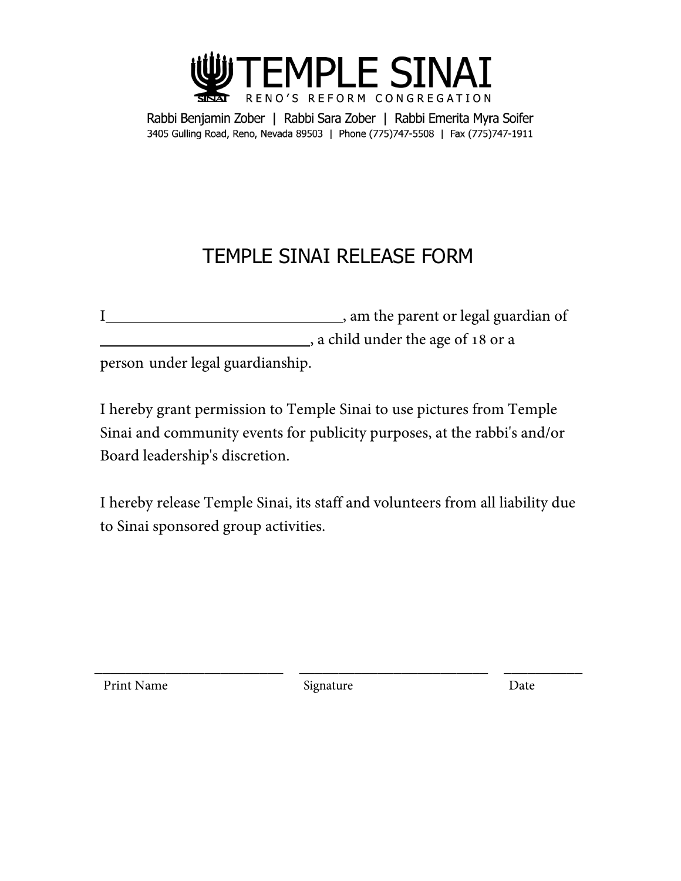

Rabbi Benjamin Zober | Rabbi Sara Zober | Rabbi Emerita Myra Soifer 3405 Gulling Road, Reno, Nevada 89503 | Phone (775)747-5508 | Fax (775)747-1911

# TEMPLE SINAI RELEASE FORM

|                                  | , am the parent or legal guardian of |
|----------------------------------|--------------------------------------|
|                                  | a child under the age of 18 or a     |
| person under legal guardianship. |                                      |

I hereby grant permission to Temple Sinai to use pictures from Temple Sinai and community events for publicity purposes, at the rabbi's and/or Board leadership's discretion.

I hereby release Temple Sinai, its staff and volunteers from all liability due to Sinai sponsored group activities.

Print Name Signature Date

\_\_\_\_\_\_\_\_\_\_\_\_\_\_\_\_\_\_\_\_\_\_\_\_ \_\_\_\_\_\_\_\_\_\_\_\_\_\_\_\_\_\_\_\_\_\_\_\_ \_\_\_\_\_\_\_\_\_\_